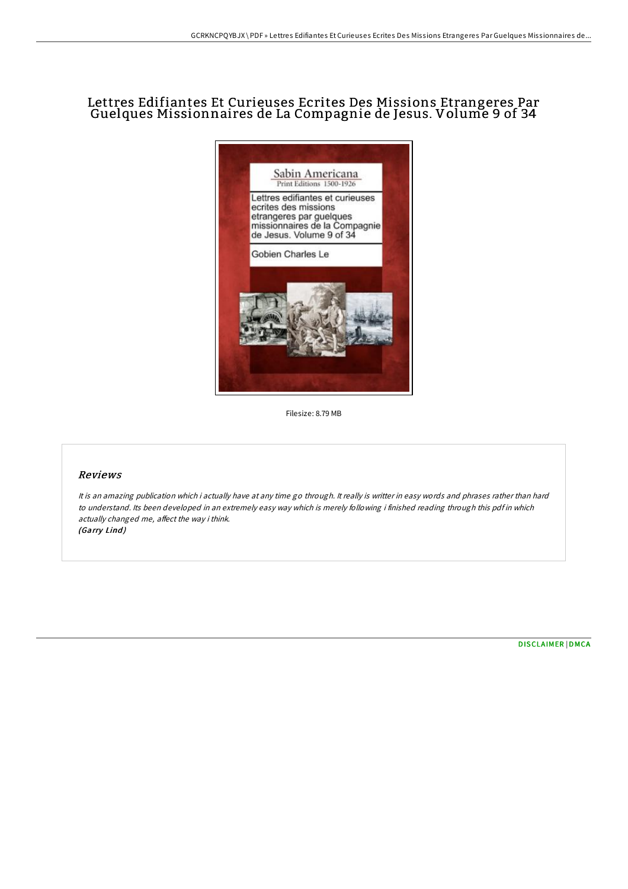# Lettres Edifiantes Et Curieuses Ecrites Des Missions Etrangeres Par Guelques Missionnaires de La Compagnie de Jesus. Volume 9 of 34



Filesize: 8.79 MB

#### Reviews

It is an amazing publication which i actually have at any time go through. It really is writter in easy words and phrases rather than hard to understand. Its been developed in an extremely easy way which is merely following i finished reading through this pdf in which actually changed me, affect the way i think. (Garry Lind)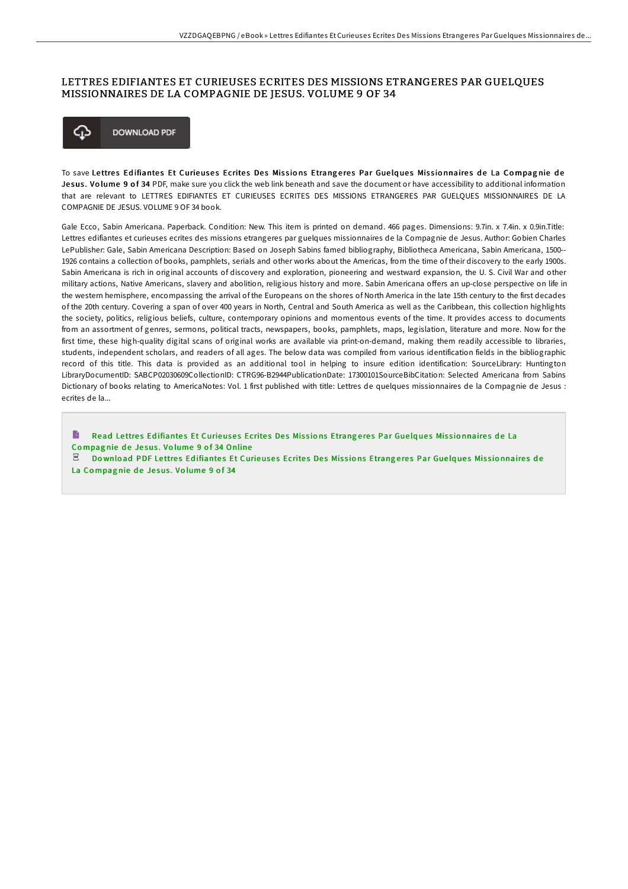### LETTRES EDIFIANTES ET CURIEUSES ECRITES DES MISSIONS ETRANGERES PAR GUELQUES MISSIONNAIRES DE LA COMPAGNIE DE JESUS. VOLUME 9 OF 34



To save Lettres Edifiantes Et Curieuses Ecrites Des Missions Etrangeres Par Guelques Missionnaires de La Compagnie de Jesus. Volume 9 of 34 PDF, make sure you click the web link beneath and save the document or have accessibility to additional information that are relevant to LETTRES EDIFIANTES ET CURIEUSES ECRITES DES MISSIONS ETRANGERES PAR GUELQUES MISSIONNAIRES DE LA COMPAGNIE DE JESUS. VOLUME 9 OF 34 book.

Gale Ecco, Sabin Americana. Paperback. Condition: New. This item is printed on demand. 466 pages. Dimensions: 9.7in. x 7.4in. x 0.9in.Title: Lettres edifiantes et curieuses ecrites des missions etrangeres par guelques missionnaires de la Compagnie de Jesus. Author: Gobien Charles LePublisher: Gale, Sabin Americana Description: Based on Joseph Sabins famed bibliography, Bibliotheca Americana, Sabin Americana, 1500-- 1926 contains a collection of books, pamphlets, serials and other works about the Americas, from the time of their discovery to the early 1900s. Sabin Americana is rich in original accounts of discovery and exploration, pioneering and westward expansion, the U. S. Civil War and other military actions, Native Americans, slavery and abolition, religious history and more. Sabin Americana offers an up-close perspective on life in the western hemisphere, encompassing the arrival of the Europeans on the shores of North America in the late 15th century to the first decades of the 20th century. Covering a span of over 400 years in North, Central and South America as well as the Caribbean, this collection highlights the society, politics, religious beliefs, culture, contemporary opinions and momentous events of the time. It provides access to documents from an assortment of genres, sermons, political tracts, newspapers, books, pamphlets, maps, legislation, literature and more. Now for the first time, these high-quality digital scans of original works are available via print-on-demand, making them readily accessible to libraries, students, independent scholars, and readers of all ages. The below data was compiled from various identification fields in the bibliographic record of this title. This data is provided as an additional tool in helping to insure edition identification: SourceLibrary: Huntington LibraryDocumentID: SABCP02030609CollectionID: CTRG96-B2944PublicationDate: 17300101SourceBibCitation: Selected Americana from Sabins Dictionary of books relating to AmericaNotes: Vol. 1 first published with title: Lettres de quelques missionnaires de la Compagnie de Jesus : ecrites de la...

Read Lettres Edifiantes Et [Curieuse](http://almighty24.tech/lettres-edifiantes-et-curieuses-ecrites-des-miss-19.html)s Ecrites Des Missions Etrangeres Par Guelques Missionnaires de La Compagnie de Jesus. Volume 9 of 34 Online

Do wnload PDF Lettres Edifiantes Et [Curieuse](http://almighty24.tech/lettres-edifiantes-et-curieuses-ecrites-des-miss-19.html)s Ecrites Des Missions Etrangeres Par Guelques Missionnaires de La Compagnie de Jesus. Volume 9 of 34